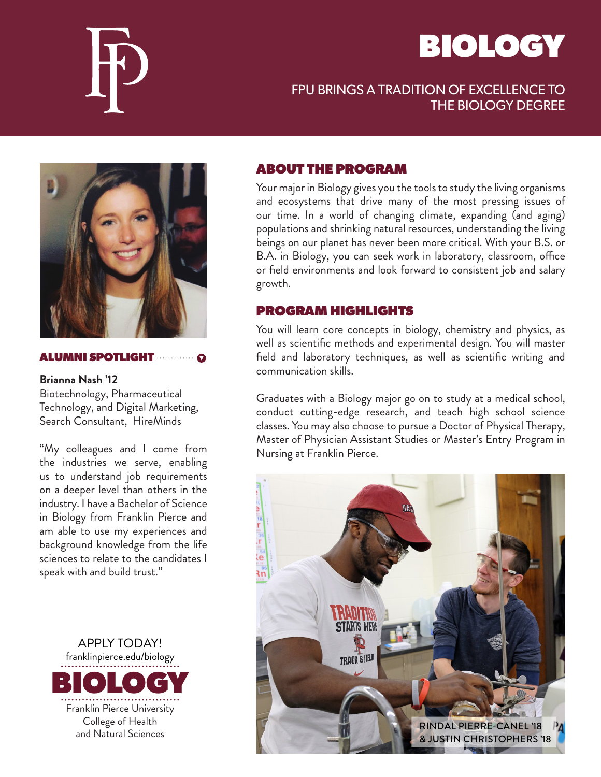



# FPU BRINGS A TRADITION OF EXCELLENCE TO THE BIOLOGY DEGREE



#### ALUMNI SPOTLIGHT

**Brianna Nash '12** Biotechnology, Pharmaceutical Technology, and Digital Marketing, Search Consultant, HireMinds

"My colleagues and I come from the industries we serve, enabling us to understand job requirements on a deeper level than others in the industry. I have a Bachelor of Science in Biology from Franklin Pierce and am able to use my experiences and background knowledge from the life sciences to relate to the candidates I speak with and build trust."

APPLY TODAY! franklinpierce.edu/biology BIOLOGY Franklin Pierce University College of Health and Natural Sciences

#### ABOUT THE PROGRAM

Your major in Biology gives you the tools to study the living organisms and ecosystems that drive many of the most pressing issues of our time. In a world of changing climate, expanding (and aging) populations and shrinking natural resources, understanding the living beings on our planet has never been more critical. With your B.S. or B.A. in Biology, you can seek work in laboratory, classroom, office or field environments and look forward to consistent job and salary growth.

### PROGRAM HIGHLIGHTS

You will learn core concepts in biology, chemistry and physics, as well as scientific methods and experimental design. You will master field and laboratory techniques, as well as scientific writing and communication skills.

Graduates with a Biology major go on to study at a medical school, conduct cutting-edge research, and teach high school science classes. You may also choose to pursue a Doctor of Physical Therapy, Master of Physician Assistant Studies or Master's Entry Program in Nursing at Franklin Pierce.